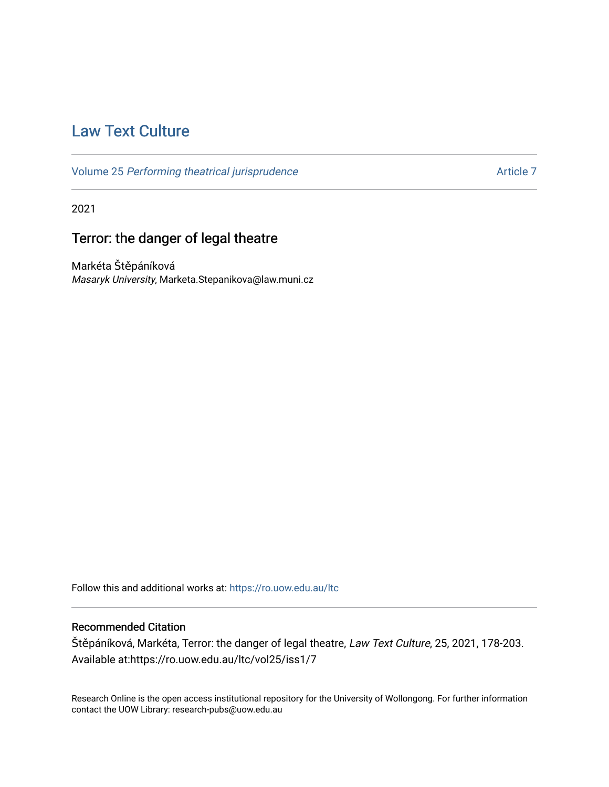# [Law Text Culture](https://ro.uow.edu.au/ltc)

Volume 25 [Performing theatrical jurisprudence](https://ro.uow.edu.au/ltc/vol25) Article 7

2021

# Terror: the danger of legal theatre

Markéta Štěpáníková Masaryk University, Marketa.Stepanikova@law.muni.cz

Follow this and additional works at: [https://ro.uow.edu.au/ltc](https://ro.uow.edu.au/ltc?utm_source=ro.uow.edu.au%2Fltc%2Fvol25%2Fiss1%2F7&utm_medium=PDF&utm_campaign=PDFCoverPages) 

# Recommended Citation

Štěpáníková, Markéta, Terror: the danger of legal theatre, Law Text Culture, 25, 2021, 178-203. Available at:https://ro.uow.edu.au/ltc/vol25/iss1/7

Research Online is the open access institutional repository for the University of Wollongong. For further information contact the UOW Library: research-pubs@uow.edu.au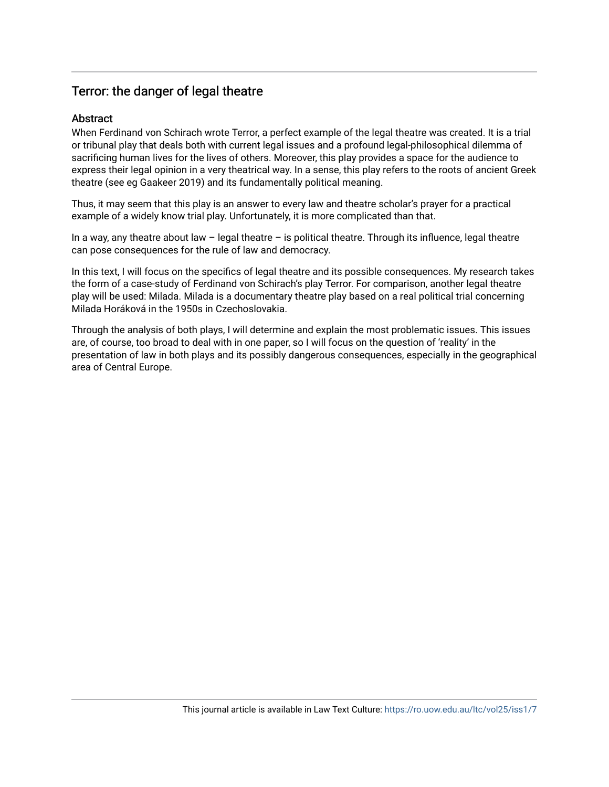# **Abstract**

When Ferdinand von Schirach wrote Terror, a perfect example of the legal theatre was created. It is a trial or tribunal play that deals both with current legal issues and a profound legal-philosophical dilemma of sacrificing human lives for the lives of others. Moreover, this play provides a space for the audience to express their legal opinion in a very theatrical way. In a sense, this play refers to the roots of ancient Greek theatre (see eg Gaakeer 2019) and its fundamentally political meaning.

Thus, it may seem that this play is an answer to every law and theatre scholar's prayer for a practical example of a widely know trial play. Unfortunately, it is more complicated than that.

In a way, any theatre about law  $-$  legal theatre  $-$  is political theatre. Through its influence, legal theatre can pose consequences for the rule of law and democracy.

In this text, I will focus on the specifics of legal theatre and its possible consequences. My research takes the form of a case-study of Ferdinand von Schirach's play Terror. For comparison, another legal theatre play will be used: Milada. Milada is a documentary theatre play based on a real political trial concerning Milada Horáková in the 1950s in Czechoslovakia.

Through the analysis of both plays, I will determine and explain the most problematic issues. This issues are, of course, too broad to deal with in one paper, so I will focus on the question of 'reality' in the presentation of law in both plays and its possibly dangerous consequences, especially in the geographical area of Central Europe.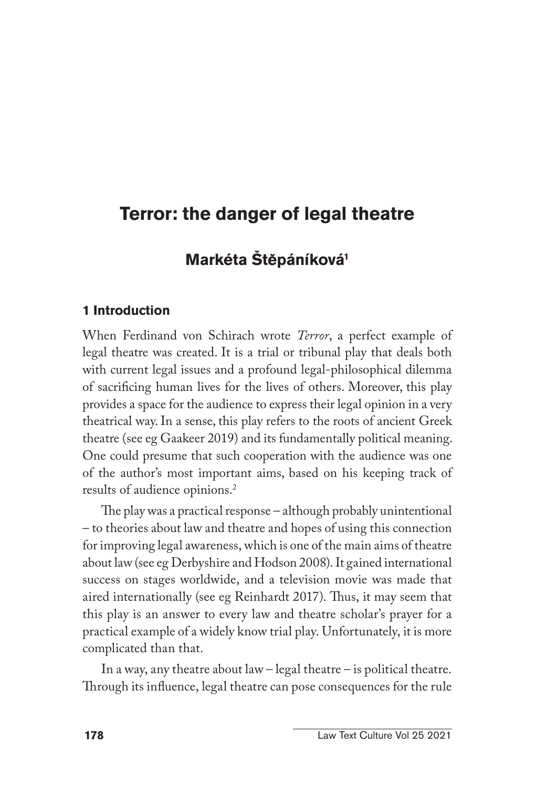# **Markéta Štepáníková1**

## **1 Introduction**

When Ferdinand von Schirach wrote *Terror*, a perfect example of legal theatre was created. It is a trial or tribunal play that deals both with current legal issues and a profound legal-philosophical dilemma of sacrificing human lives for the lives of others. Moreover, this play provides a space for the audience to express their legal opinion in a very theatrical way. In a sense, this play refers to the roots of ancient Greek theatre (see eg Gaakeer 2019) and its fundamentally political meaning. One could presume that such cooperation with the audience was one of the author's most important aims, based on his keeping track of results of audience opinions.2

The play was a practical response – although probably unintentional – to theories about law and theatre and hopes of using this connection for improving legal awareness, which is one of the main aims of theatre about law (see eg Derbyshire and Hodson 2008). It gained international success on stages worldwide, and a television movie was made that aired internationally (see eg Reinhardt 2017). Thus, it may seem that this play is an answer to every law and theatre scholar's prayer for a practical example of a widely know trial play. Unfortunately, it is more complicated than that.

In a way, any theatre about law – legal theatre – is political theatre. Through its influence, legal theatre can pose consequences for the rule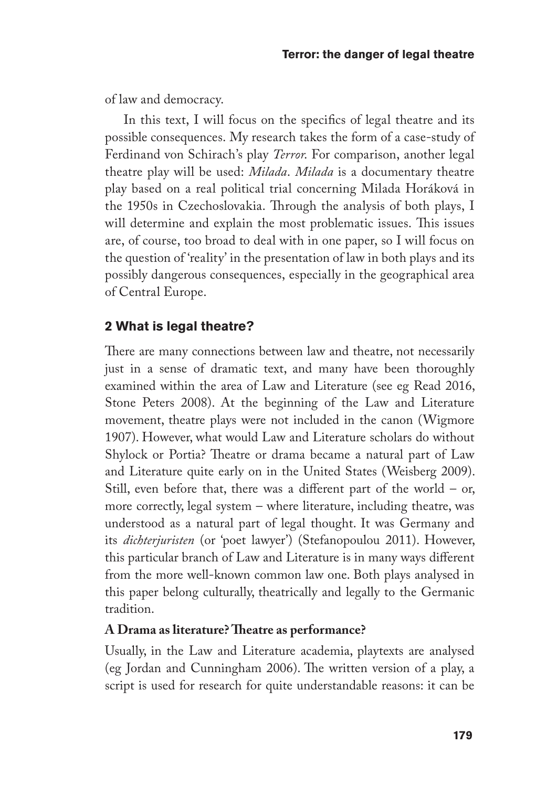of law and democracy.

In this text, I will focus on the specifics of legal theatre and its possible consequences. My research takes the form of a case-study of Ferdinand von Schirach's play *Terror*. For comparison, another legal theatre play will be used: *Milada*. *Milada* is a documentary theatre play based on a real political trial concerning Milada Horáková in the 1950s in Czechoslovakia. Through the analysis of both plays, I will determine and explain the most problematic issues. This issues are, of course, too broad to deal with in one paper, so I will focus on the question of 'reality' in the presentation of law in both plays and its possibly dangerous consequences, especially in the geographical area of Central Europe.

## **2 What is legal theatre?**

There are many connections between law and theatre, not necessarily just in a sense of dramatic text, and many have been thoroughly examined within the area of Law and Literature (see eg Read 2016, Stone Peters 2008). At the beginning of the Law and Literature movement, theatre plays were not included in the canon (Wigmore 1907). However, what would Law and Literature scholars do without Shylock or Portia? Theatre or drama became a natural part of Law and Literature quite early on in the United States (Weisberg 2009). Still, even before that, there was a different part of the world – or, more correctly, legal system – where literature, including theatre, was understood as a natural part of legal thought. It was Germany and its *dichterjuristen* (or 'poet lawyer') (Stefanopoulou 2011). However, this particular branch of Law and Literature is in many ways different from the more well-known common law one. Both plays analysed in this paper belong culturally, theatrically and legally to the Germanic tradition.

### **A Drama as literature? Theatre as performance?**

Usually, in the Law and Literature academia, playtexts are analysed (eg Jordan and Cunningham 2006). The written version of a play, a script is used for research for quite understandable reasons: it can be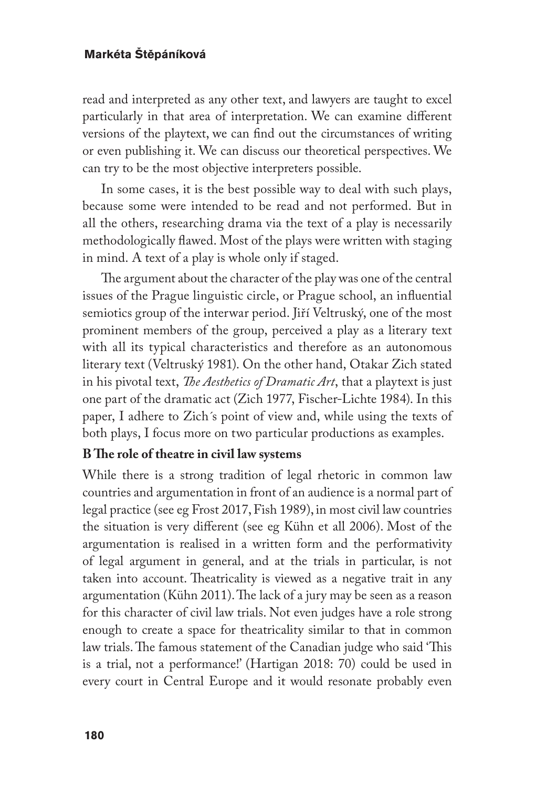read and interpreted as any other text, and lawyers are taught to excel particularly in that area of interpretation. We can examine different versions of the playtext, we can find out the circumstances of writing or even publishing it. We can discuss our theoretical perspectives. We can try to be the most objective interpreters possible.

In some cases, it is the best possible way to deal with such plays, because some were intended to be read and not performed. But in all the others, researching drama via the text of a play is necessarily methodologically flawed. Most of the plays were written with staging in mind. A text of a play is whole only if staged.

The argument about the character of the play was one of the central issues of the Prague linguistic circle, or Prague school, an influential semiotics group of the interwar period. Jiří Veltruský, one of the most prominent members of the group, perceived a play as a literary text with all its typical characteristics and therefore as an autonomous literary text (Veltruský 1981). On the other hand, Otakar Zich stated in his pivotal text, *The Aesthetics of Dramatic Art*, that a playtext is just one part of the dramatic act (Zich 1977, Fischer-Lichte 1984). In this paper, I adhere to Zich´s point of view and, while using the texts of both plays, I focus more on two particular productions as examples.

### **B The role of theatre in civil law systems**

While there is a strong tradition of legal rhetoric in common law countries and argumentation in front of an audience is a normal part of legal practice (see eg Frost 2017, Fish 1989), in most civil law countries the situation is very different (see eg Kühn et all 2006). Most of the argumentation is realised in a written form and the performativity of legal argument in general, and at the trials in particular, is not taken into account. Theatricality is viewed as a negative trait in any argumentation (Kühn 2011). The lack of a jury may be seen as a reason for this character of civil law trials. Not even judges have a role strong enough to create a space for theatricality similar to that in common law trials. The famous statement of the Canadian judge who said 'This is a trial, not a performance!' (Hartigan 2018: 70) could be used in every court in Central Europe and it would resonate probably even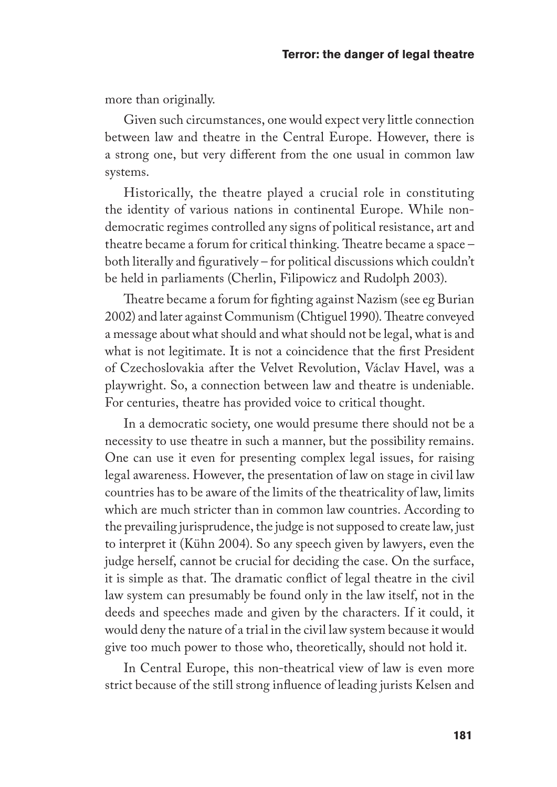more than originally.

Given such circumstances, one would expect very little connection between law and theatre in the Central Europe. However, there is a strong one, but very different from the one usual in common law systems.

Historically, the theatre played a crucial role in constituting the identity of various nations in continental Europe. While nondemocratic regimes controlled any signs of political resistance, art and theatre became a forum for critical thinking. Theatre became a space – both literally and figuratively – for political discussions which couldn't be held in parliaments (Cherlin, Filipowicz and Rudolph 2003).

Theatre became a forum for fighting against Nazism (see eg Burian 2002) and later against Communism (Chtiguel 1990). Theatre conveyed a message about what should and what should not be legal, what is and what is not legitimate. It is not a coincidence that the first President of Czechoslovakia after the Velvet Revolution, Václav Havel, was a playwright. So, a connection between law and theatre is undeniable. For centuries, theatre has provided voice to critical thought.

In a democratic society, one would presume there should not be a necessity to use theatre in such a manner, but the possibility remains. One can use it even for presenting complex legal issues, for raising legal awareness. However, the presentation of law on stage in civil law countries has to be aware of the limits of the theatricality of law, limits which are much stricter than in common law countries. According to the prevailing jurisprudence, the judge is not supposed to create law, just to interpret it (Kühn 2004). So any speech given by lawyers, even the judge herself, cannot be crucial for deciding the case. On the surface, it is simple as that. The dramatic conflict of legal theatre in the civil law system can presumably be found only in the law itself, not in the deeds and speeches made and given by the characters. If it could, it would deny the nature of a trial in the civil law system because it would give too much power to those who, theoretically, should not hold it.

In Central Europe, this non-theatrical view of law is even more strict because of the still strong influence of leading jurists Kelsen and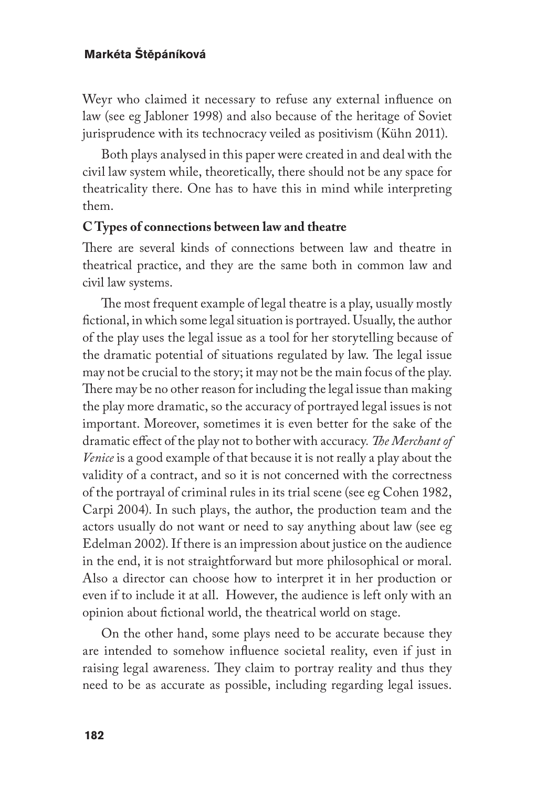Weyr who claimed it necessary to refuse any external influence on law (see eg Jabloner 1998) and also because of the heritage of Soviet jurisprudence with its technocracy veiled as positivism (Kühn 2011).

Both plays analysed in this paper were created in and deal with the civil law system while, theoretically, there should not be any space for theatricality there. One has to have this in mind while interpreting them.

### **C Types of connections between law and theatre**

There are several kinds of connections between law and theatre in theatrical practice, and they are the same both in common law and civil law systems.

The most frequent example of legal theatre is a play, usually mostly fictional, in which some legal situation is portrayed. Usually, the author of the play uses the legal issue as a tool for her storytelling because of the dramatic potential of situations regulated by law. The legal issue may not be crucial to the story; it may not be the main focus of the play. There may be no other reason for including the legal issue than making the play more dramatic, so the accuracy of portrayed legal issues is not important. Moreover, sometimes it is even better for the sake of the dramatic effect of the play not to bother with accuracy*. The Merchant of Venice* is a good example of that because it is not really a play about the validity of a contract, and so it is not concerned with the correctness of the portrayal of criminal rules in its trial scene (see eg Cohen 1982, Carpi 2004). In such plays, the author, the production team and the actors usually do not want or need to say anything about law (see eg Edelman 2002). If there is an impression about justice on the audience in the end, it is not straightforward but more philosophical or moral. Also a director can choose how to interpret it in her production or even if to include it at all. However, the audience is left only with an opinion about fictional world, the theatrical world on stage.

On the other hand, some plays need to be accurate because they are intended to somehow influence societal reality, even if just in raising legal awareness. They claim to portray reality and thus they need to be as accurate as possible, including regarding legal issues.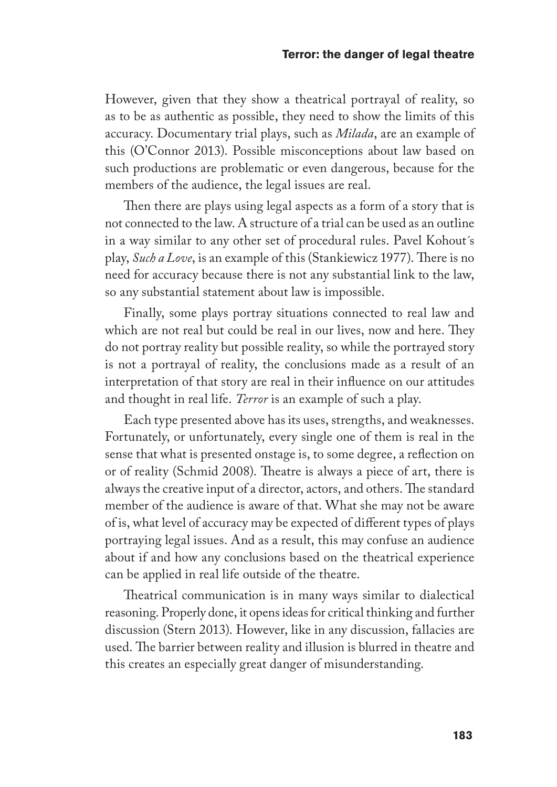However, given that they show a theatrical portrayal of reality, so as to be as authentic as possible, they need to show the limits of this accuracy. Documentary trial plays, such as *Milada*, are an example of this (O'Connor 2013). Possible misconceptions about law based on such productions are problematic or even dangerous, because for the members of the audience, the legal issues are real.

Then there are plays using legal aspects as a form of a story that is not connected to the law. A structure of a trial can be used as an outline in a way similar to any other set of procedural rules. Pavel Kohout´s play, *Such a Love*, is an example of this (Stankiewicz 1977). There is no need for accuracy because there is not any substantial link to the law, so any substantial statement about law is impossible.

Finally, some plays portray situations connected to real law and which are not real but could be real in our lives, now and here. They do not portray reality but possible reality, so while the portrayed story is not a portrayal of reality, the conclusions made as a result of an interpretation of that story are real in their influence on our attitudes and thought in real life. *Terror* is an example of such a play.

Each type presented above has its uses, strengths, and weaknesses. Fortunately, or unfortunately, every single one of them is real in the sense that what is presented onstage is, to some degree, a reflection on or of reality (Schmid 2008). Theatre is always a piece of art, there is always the creative input of a director, actors, and others. The standard member of the audience is aware of that. What she may not be aware of is, what level of accuracy may be expected of different types of plays portraying legal issues. And as a result, this may confuse an audience about if and how any conclusions based on the theatrical experience can be applied in real life outside of the theatre.

Theatrical communication is in many ways similar to dialectical reasoning. Properly done, it opens ideas for critical thinking and further discussion (Stern 2013). However, like in any discussion, fallacies are used. The barrier between reality and illusion is blurred in theatre and this creates an especially great danger of misunderstanding.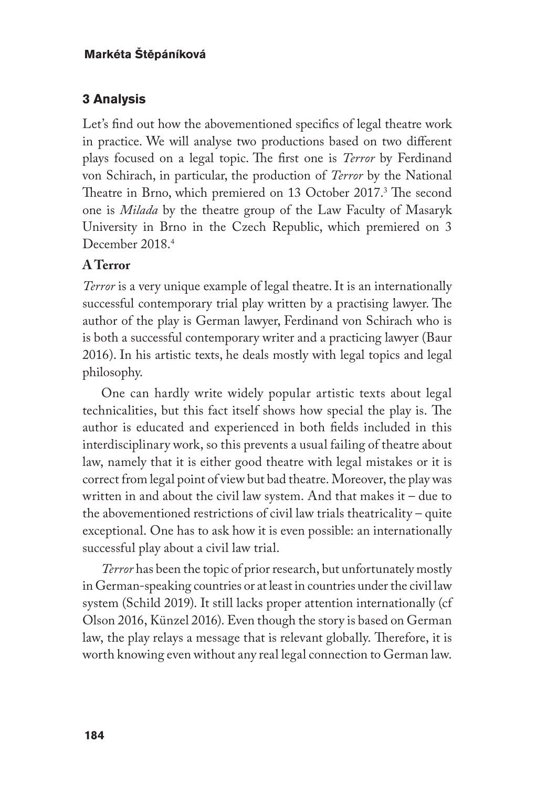# **3 Analysis**

Let's find out how the abovementioned specifics of legal theatre work in practice. We will analyse two productions based on two different plays focused on a legal topic. The first one is *Terror* by Ferdinand von Schirach, in particular, the production of *Terror* by the National Theatre in Brno, which premiered on 13 October 2017.<sup>3</sup> The second one is *Milada* by the theatre group of the Law Faculty of Masaryk University in Brno in the Czech Republic, which premiered on 3 December 2018<sup>4</sup>

# **A Terror**

*Terror* is a very unique example of legal theatre. It is an internationally successful contemporary trial play written by a practising lawyer. The author of the play is German lawyer, Ferdinand von Schirach who is is both a successful contemporary writer and a practicing lawyer (Baur 2016). In his artistic texts, he deals mostly with legal topics and legal philosophy.

One can hardly write widely popular artistic texts about legal technicalities, but this fact itself shows how special the play is. The author is educated and experienced in both fields included in this interdisciplinary work, so this prevents a usual failing of theatre about law, namely that it is either good theatre with legal mistakes or it is correct from legal point of view but bad theatre. Moreover, the play was written in and about the civil law system. And that makes it – due to the abovementioned restrictions of civil law trials theatricality – quite exceptional. One has to ask how it is even possible: an internationally successful play about a civil law trial.

*Terror* has been the topic of prior research, but unfortunately mostly in German-speaking countries or at least in countries under the civil law system (Schild 2019). It still lacks proper attention internationally (cf Olson 2016, Künzel 2016). Even though the story is based on German law, the play relays a message that is relevant globally. Therefore, it is worth knowing even without any real legal connection to German law.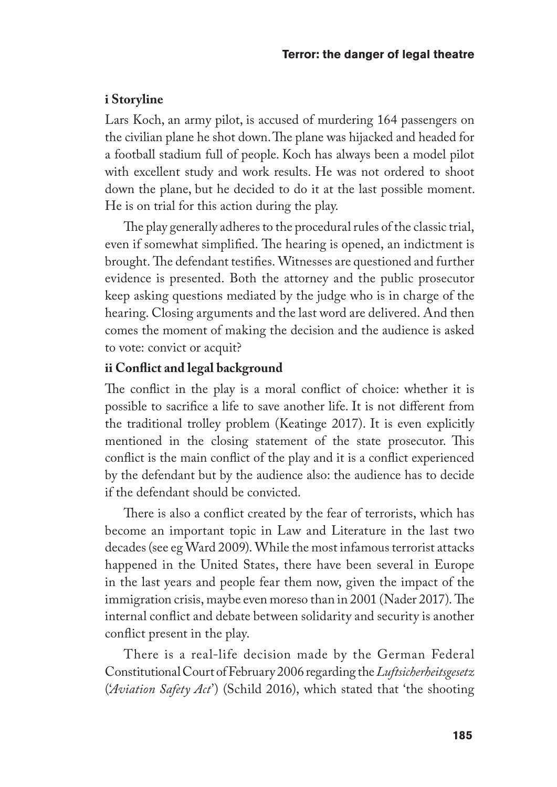### **i Storyline**

Lars Koch, an army pilot, is accused of murdering 164 passengers on the civilian plane he shot down. The plane was hijacked and headed for a football stadium full of people. Koch has always been a model pilot with excellent study and work results. He was not ordered to shoot down the plane, but he decided to do it at the last possible moment. He is on trial for this action during the play.

The play generally adheres to the procedural rules of the classic trial, even if somewhat simplified. The hearing is opened, an indictment is brought. The defendant testifies. Witnesses are questioned and further evidence is presented. Both the attorney and the public prosecutor keep asking questions mediated by the judge who is in charge of the hearing. Closing arguments and the last word are delivered. And then comes the moment of making the decision and the audience is asked to vote: convict or acquit?

## **ii Conflict and legal background**

The conflict in the play is a moral conflict of choice: whether it is possible to sacrifice a life to save another life. It is not different from the traditional trolley problem (Keatinge 2017). It is even explicitly mentioned in the closing statement of the state prosecutor. This conflict is the main conflict of the play and it is a conflict experienced by the defendant but by the audience also: the audience has to decide if the defendant should be convicted.

There is also a conflict created by the fear of terrorists, which has become an important topic in Law and Literature in the last two decades (see eg Ward 2009). While the most infamous terrorist attacks happened in the United States, there have been several in Europe in the last years and people fear them now, given the impact of the immigration crisis, maybe even moreso than in 2001 (Nader 2017). The internal conflict and debate between solidarity and security is another conflict present in the play.

There is a real-life decision made by the German Federal Constitutional Court of February 2006 regarding the *Luftsicherheitsgesetz* ('*Aviation Safety Act*') (Schild 2016), which stated that 'the shooting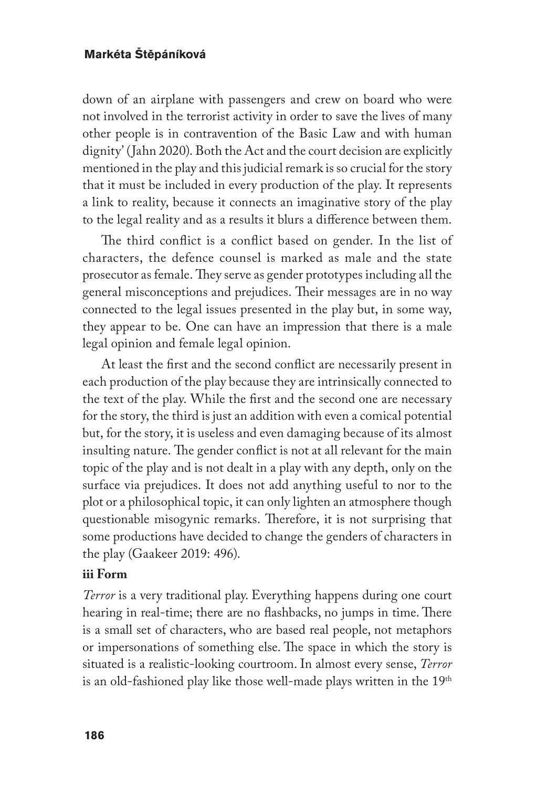down of an airplane with passengers and crew on board who were not involved in the terrorist activity in order to save the lives of many other people is in contravention of the Basic Law and with human dignity' (Jahn 2020). Both the Act and the court decision are explicitly mentioned in the play and this judicial remark is so crucial for the story that it must be included in every production of the play. It represents a link to reality, because it connects an imaginative story of the play to the legal reality and as a results it blurs a difference between them.

The third conflict is a conflict based on gender. In the list of characters, the defence counsel is marked as male and the state prosecutor as female. They serve as gender prototypes including all the general misconceptions and prejudices. Their messages are in no way connected to the legal issues presented in the play but, in some way, they appear to be. One can have an impression that there is a male legal opinion and female legal opinion.

At least the first and the second conflict are necessarily present in each production of the play because they are intrinsically connected to the text of the play. While the first and the second one are necessary for the story, the third is just an addition with even a comical potential but, for the story, it is useless and even damaging because of its almost insulting nature. The gender conflict is not at all relevant for the main topic of the play and is not dealt in a play with any depth, only on the surface via prejudices. It does not add anything useful to nor to the plot or a philosophical topic, it can only lighten an atmosphere though questionable misogynic remarks. Therefore, it is not surprising that some productions have decided to change the genders of characters in the play (Gaakeer 2019: 496).

### **iii Form**

*Terror* is a very traditional play. Everything happens during one court hearing in real-time; there are no flashbacks, no jumps in time. There is a small set of characters, who are based real people, not metaphors or impersonations of something else. The space in which the story is situated is a realistic-looking courtroom. In almost every sense, *Terror* is an old-fashioned play like those well-made plays written in the 19<sup>th</sup>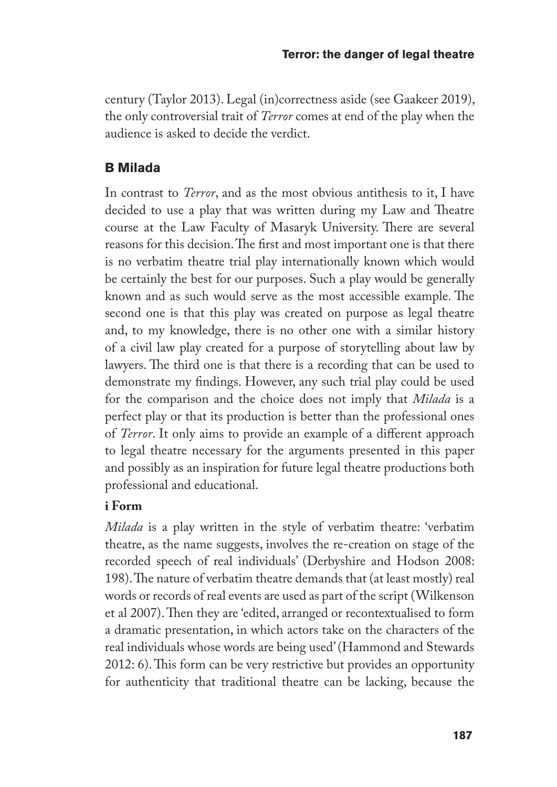century (Taylor 2013). Legal (in)correctness aside (see Gaakeer 2019), the only controversial trait of *Terror* comes at end of the play when the audience is asked to decide the verdict.

# **B Milada**

In contrast to *Terror*, and as the most obvious antithesis to it, I have decided to use a play that was written during my Law and Theatre course at the Law Faculty of Masaryk University. There are several reasons for this decision. The first and most important one is that there is no verbatim theatre trial play internationally known which would be certainly the best for our purposes. Such a play would be generally known and as such would serve as the most accessible example. The second one is that this play was created on purpose as legal theatre and, to my knowledge, there is no other one with a similar history of a civil law play created for a purpose of storytelling about law by lawyers. The third one is that there is a recording that can be used to demonstrate my findings. However, any such trial play could be used for the comparison and the choice does not imply that *Milada* is a perfect play or that its production is better than the professional ones of *Terror*. It only aims to provide an example of a different approach to legal theatre necessary for the arguments presented in this paper and possibly as an inspiration for future legal theatre productions both professional and educational.

## **i Form**

*Milada* is a play written in the style of verbatim theatre: 'verbatim theatre, as the name suggests, involves the re-creation on stage of the recorded speech of real individuals' (Derbyshire and Hodson 2008: 198). The nature of verbatim theatre demands that (at least mostly) real words or records of real events are used as part of the script (Wilkenson et al 2007). Then they are 'edited, arranged or recontextualised to form a dramatic presentation, in which actors take on the characters of the real individuals whose words are being used' (Hammond and Stewards 2012: 6). This form can be very restrictive but provides an opportunity for authenticity that traditional theatre can be lacking, because the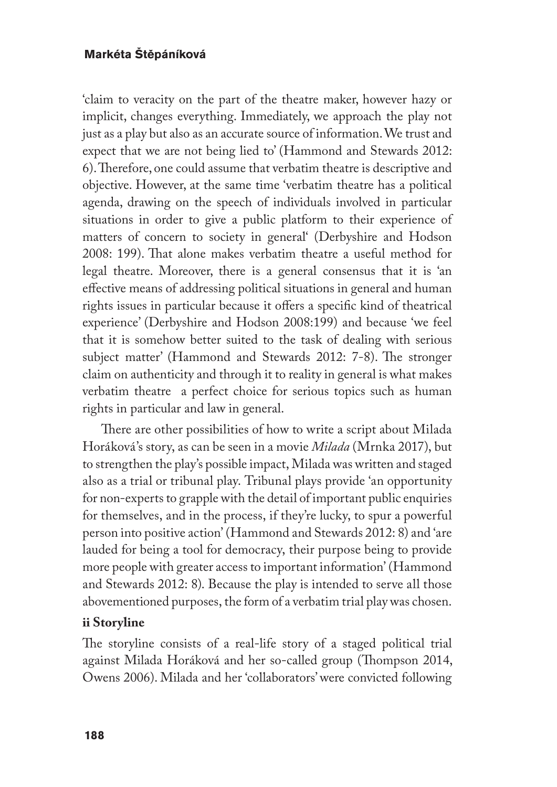'claim to veracity on the part of the theatre maker, however hazy or implicit, changes everything. Immediately, we approach the play not just as a play but also as an accurate source of information. We trust and expect that we are not being lied to' (Hammond and Stewards 2012: 6). Therefore, one could assume that verbatim theatre is descriptive and objective. However, at the same time 'verbatim theatre has a political agenda, drawing on the speech of individuals involved in particular situations in order to give a public platform to their experience of matters of concern to society in general' (Derbyshire and Hodson 2008: 199). That alone makes verbatim theatre a useful method for legal theatre. Moreover, there is a general consensus that it is 'an effective means of addressing political situations in general and human rights issues in particular because it offers a specific kind of theatrical experience' (Derbyshire and Hodson 2008:199) and because 'we feel that it is somehow better suited to the task of dealing with serious subject matter' (Hammond and Stewards 2012: 7-8). The stronger claim on authenticity and through it to reality in general is what makes verbatim theatre a perfect choice for serious topics such as human rights in particular and law in general.

There are other possibilities of how to write a script about Milada Horáková's story, as can be seen in a movie *Milada* (Mrnka 2017), but to strengthen the play's possible impact, Milada was written and staged also as a trial or tribunal play. Tribunal plays provide 'an opportunity for non-experts to grapple with the detail of important public enquiries for themselves, and in the process, if they're lucky, to spur a powerful person into positive action' (Hammond and Stewards 2012: 8) and 'are lauded for being a tool for democracy, their purpose being to provide more people with greater access to important information' (Hammond and Stewards 2012: 8). Because the play is intended to serve all those abovementioned purposes, the form of a verbatim trial play was chosen.

## **ii Storyline**

The storyline consists of a real-life story of a staged political trial against Milada Horáková and her so-called group (Thompson 2014, Owens 2006). Milada and her 'collaborators' were convicted following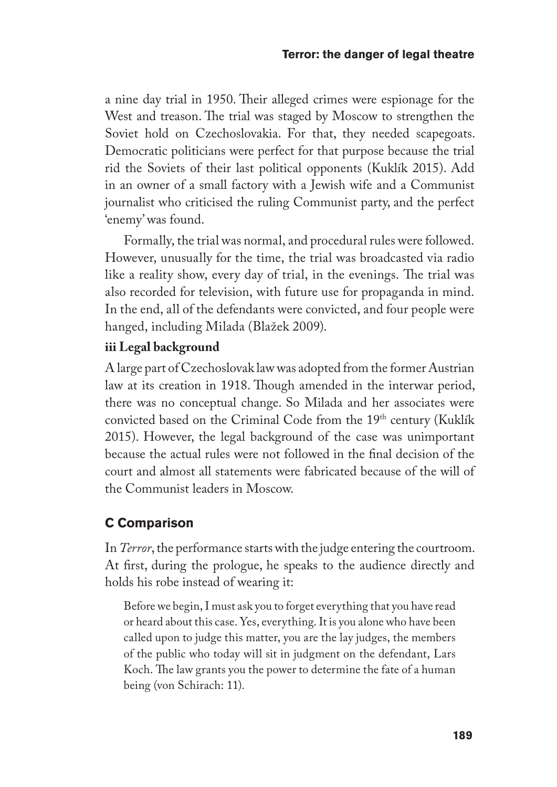a nine day trial in 1950. Their alleged crimes were espionage for the West and treason. The trial was staged by Moscow to strengthen the Soviet hold on Czechoslovakia. For that, they needed scapegoats. Democratic politicians were perfect for that purpose because the trial rid the Soviets of their last political opponents (Kuklík 2015). Add in an owner of a small factory with a Jewish wife and a Communist journalist who criticised the ruling Communist party, and the perfect 'enemy' was found.

Formally, the trial was normal, and procedural rules were followed. However, unusually for the time, the trial was broadcasted via radio like a reality show, every day of trial, in the evenings. The trial was also recorded for television, with future use for propaganda in mind. In the end, all of the defendants were convicted, and four people were hanged, including Milada (Blažek 2009).

## **iii Legal background**

A large part of Czechoslovak law was adopted from the former Austrian law at its creation in 1918. Though amended in the interwar period, there was no conceptual change. So Milada and her associates were convicted based on the Criminal Code from the 19<sup>th</sup> century (Kuklík 2015). However, the legal background of the case was unimportant because the actual rules were not followed in the final decision of the court and almost all statements were fabricated because of the will of the Communist leaders in Moscow.

# **C Comparison**

In *Terror*, the performance starts with the judge entering the courtroom. At first, during the prologue, he speaks to the audience directly and holds his robe instead of wearing it:

Before we begin, I must ask you to forget everything that you have read or heard about this case. Yes, everything. It is you alone who have been called upon to judge this matter, you are the lay judges, the members of the public who today will sit in judgment on the defendant, Lars Koch. The law grants you the power to determine the fate of a human being (von Schirach: 11).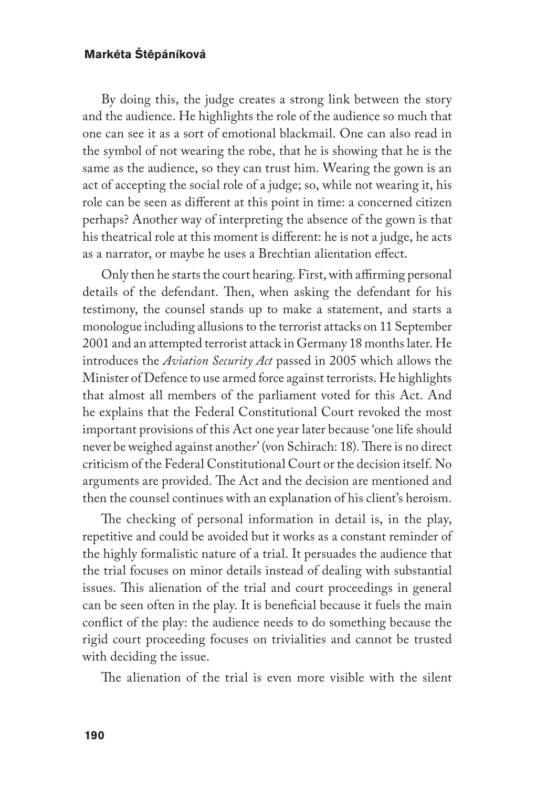By doing this, the judge creates a strong link between the story and the audience. He highlights the role of the audience so much that one can see it as a sort of emotional blackmail. One can also read in the symbol of not wearing the robe, that he is showing that he is the same as the audience, so they can trust him. Wearing the gown is an act of accepting the social role of a judge; so, while not wearing it, his role can be seen as different at this point in time: a concerned citizen perhaps? Another way of interpreting the absence of the gown is that his theatrical role at this moment is different: he is not a judge, he acts as a narrator, or maybe he uses a Brechtian alientation effect.

Only then he starts the court hearing. First, with affirming personal details of the defendant. Then, when asking the defendant for his testimony, the counsel stands up to make a statement, and starts a monologue including allusions to the terrorist attacks on 11 September 2001 and an attempted terrorist attack in Germany 18 months later. He introduces the *Aviation Security Act* passed in 2005 which allows the Minister of Defence to use armed force against terrorists. He highlights that almost all members of the parliament voted for this Act. And he explains that the Federal Constitutional Court revoked the most important provisions of this Act one year later because 'one life should never be weighed against anothe*r*' (von Schirach: 18). There is no direct criticism of the Federal Constitutional Court or the decision itself. No arguments are provided. The Act and the decision are mentioned and then the counsel continues with an explanation of his client's heroism.

The checking of personal information in detail is, in the play, repetitive and could be avoided but it works as a constant reminder of the highly formalistic nature of a trial. It persuades the audience that the trial focuses on minor details instead of dealing with substantial issues. This alienation of the trial and court proceedings in general can be seen often in the play. It is beneficial because it fuels the main conflict of the play: the audience needs to do something because the rigid court proceeding focuses on trivialities and cannot be trusted with deciding the issue.

The alienation of the trial is even more visible with the silent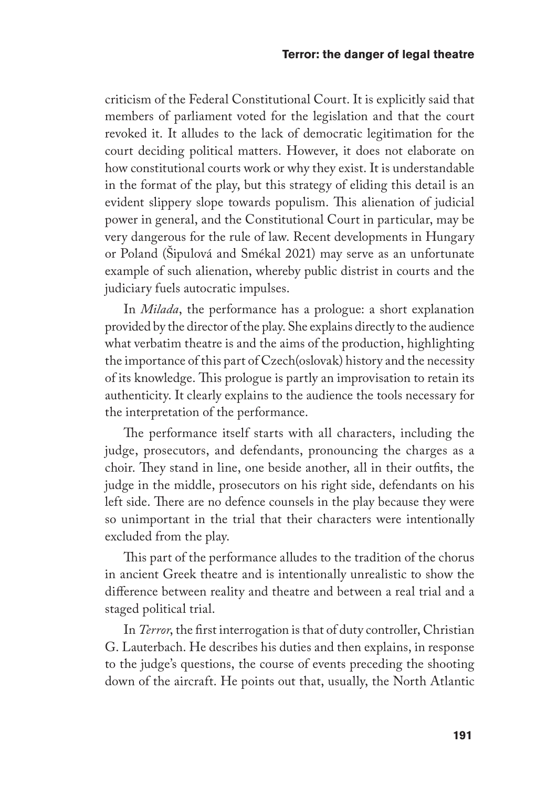criticism of the Federal Constitutional Court. It is explicitly said that members of parliament voted for the legislation and that the court revoked it. It alludes to the lack of democratic legitimation for the court deciding political matters. However, it does not elaborate on how constitutional courts work or why they exist. It is understandable in the format of the play, but this strategy of eliding this detail is an evident slippery slope towards populism. This alienation of judicial power in general, and the Constitutional Court in particular, may be very dangerous for the rule of law. Recent developments in Hungary or Poland (Šipulová and Smékal 2021) may serve as an unfortunate example of such alienation, whereby public distrist in courts and the judiciary fuels autocratic impulses.

In *Milada*, the performance has a prologue: a short explanation provided by the director of the play. She explains directly to the audience what verbatim theatre is and the aims of the production, highlighting the importance of this part of Czech(oslovak) history and the necessity of its knowledge. This prologue is partly an improvisation to retain its authenticity. It clearly explains to the audience the tools necessary for the interpretation of the performance.

The performance itself starts with all characters, including the judge, prosecutors, and defendants, pronouncing the charges as a choir. They stand in line, one beside another, all in their outfits, the judge in the middle, prosecutors on his right side, defendants on his left side. There are no defence counsels in the play because they were so unimportant in the trial that their characters were intentionally excluded from the play.

This part of the performance alludes to the tradition of the chorus in ancient Greek theatre and is intentionally unrealistic to show the difference between reality and theatre and between a real trial and a staged political trial.

In *Terror*, the first interrogation is that of duty controller, Christian G. Lauterbach. He describes his duties and then explains, in response to the judge's questions, the course of events preceding the shooting down of the aircraft. He points out that, usually, the North Atlantic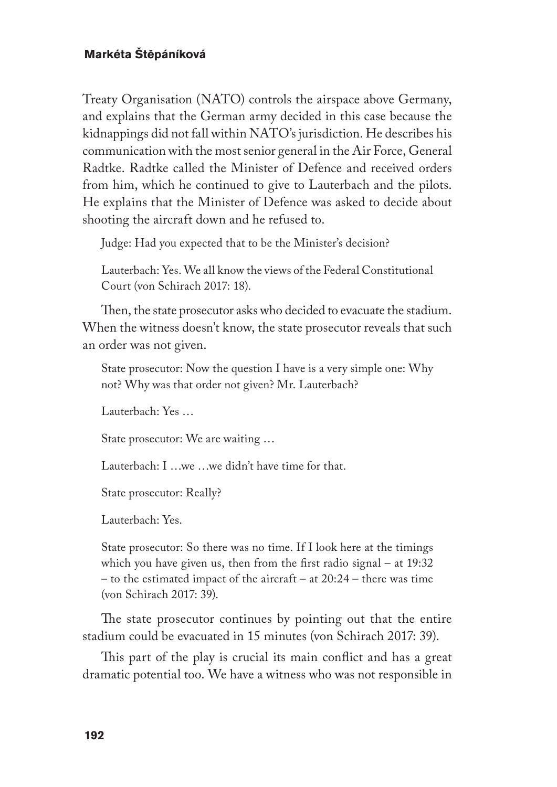Treaty Organisation (NATO) controls the airspace above Germany, and explains that the German army decided in this case because the kidnappings did not fall within NATO's jurisdiction. He describes his communication with the most senior general in the Air Force, General Radtke. Radtke called the Minister of Defence and received orders from him, which he continued to give to Lauterbach and the pilots. He explains that the Minister of Defence was asked to decide about shooting the aircraft down and he refused to.

Judge: Had you expected that to be the Minister's decision?

Lauterbach: Yes. We all know the views of the Federal Constitutional Court (von Schirach 2017: 18).

Then, the state prosecutor asks who decided to evacuate the stadium. When the witness doesn't know, the state prosecutor reveals that such an order was not given.

State prosecutor: Now the question I have is a very simple one: Why not? Why was that order not given? Mr. Lauterbach?

Lauterbach: Yes …

State prosecutor: We are waiting …

Lauterbach: I …we …we didn't have time for that.

State prosecutor: Really?

Lauterbach: Yes.

State prosecutor: So there was no time. If I look here at the timings which you have given us, then from the first radio signal – at 19:32 – to the estimated impact of the aircraft – at 20:24 – there was time (von Schirach 2017: 39).

The state prosecutor continues by pointing out that the entire stadium could be evacuated in 15 minutes (von Schirach 2017: 39).

This part of the play is crucial its main conflict and has a great dramatic potential too. We have a witness who was not responsible in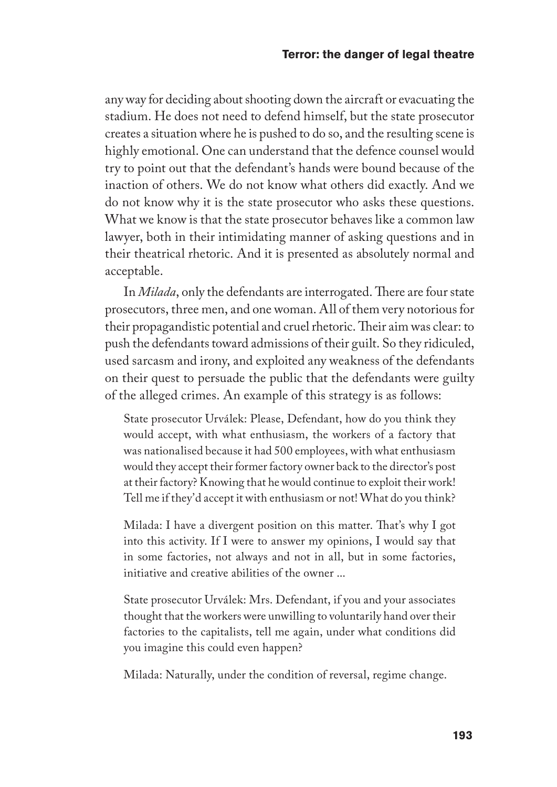any way for deciding about shooting down the aircraft or evacuating the stadium. He does not need to defend himself, but the state prosecutor creates a situation where he is pushed to do so, and the resulting scene is highly emotional. One can understand that the defence counsel would try to point out that the defendant's hands were bound because of the inaction of others. We do not know what others did exactly. And we do not know why it is the state prosecutor who asks these questions. What we know is that the state prosecutor behaves like a common law lawyer, both in their intimidating manner of asking questions and in their theatrical rhetoric. And it is presented as absolutely normal and acceptable.

In *Milada*, only the defendants are interrogated. There are four state prosecutors, three men, and one woman. All of them very notorious for their propagandistic potential and cruel rhetoric. Their aim was clear: to push the defendants toward admissions of their guilt. So they ridiculed, used sarcasm and irony, and exploited any weakness of the defendants on their quest to persuade the public that the defendants were guilty of the alleged crimes. An example of this strategy is as follows:

State prosecutor Urválek: Please, Defendant, how do you think they would accept, with what enthusiasm, the workers of a factory that was nationalised because it had 500 employees, with what enthusiasm would they accept their former factory owner back to the director's post at their factory? Knowing that he would continue to exploit their work! Tell me if they'd accept it with enthusiasm or not! What do you think?

Milada: I have a divergent position on this matter. That's why I got into this activity. If I were to answer my opinions, I would say that in some factories, not always and not in all, but in some factories, initiative and creative abilities of the owner ...

State prosecutor Urválek: Mrs. Defendant, if you and your associates thought that the workers were unwilling to voluntarily hand over their factories to the capitalists, tell me again, under what conditions did you imagine this could even happen?

Milada: Naturally, under the condition of reversal, regime change.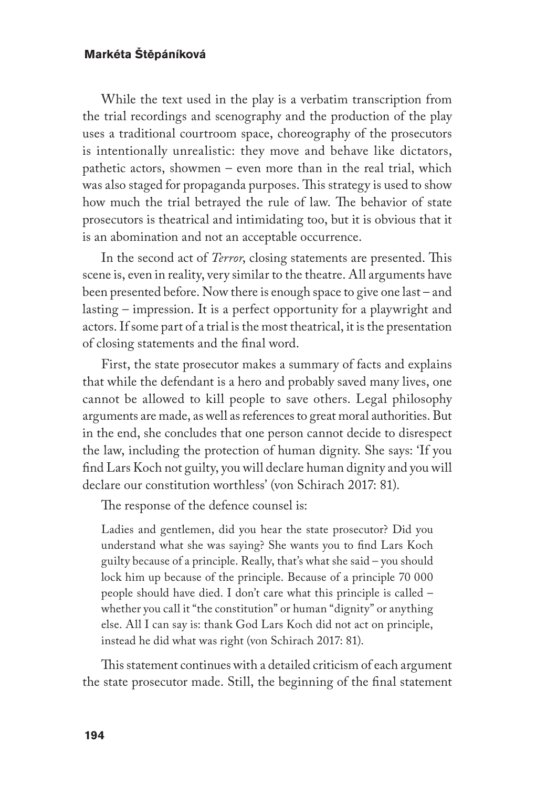While the text used in the play is a verbatim transcription from the trial recordings and scenography and the production of the play uses a traditional courtroom space, choreography of the prosecutors is intentionally unrealistic: they move and behave like dictators, pathetic actors, showmen – even more than in the real trial, which was also staged for propaganda purposes. This strategy is used to show how much the trial betrayed the rule of law. The behavior of state prosecutors is theatrical and intimidating too, but it is obvious that it is an abomination and not an acceptable occurrence.

In the second act of *Terror*, closing statements are presented. This scene is, even in reality, very similar to the theatre. All arguments have been presented before. Now there is enough space to give one last – and lasting – impression. It is a perfect opportunity for a playwright and actors. If some part of a trial is the most theatrical, it is the presentation of closing statements and the final word.

First, the state prosecutor makes a summary of facts and explains that while the defendant is a hero and probably saved many lives, one cannot be allowed to kill people to save others. Legal philosophy arguments are made, as well as references to great moral authorities. But in the end, she concludes that one person cannot decide to disrespect the law, including the protection of human dignity. She says: 'If you find Lars Koch not guilty, you will declare human dignity and you will declare our constitution worthless' (von Schirach 2017: 81).

The response of the defence counsel is:

Ladies and gentlemen, did you hear the state prosecutor? Did you understand what she was saying? She wants you to find Lars Koch guilty because of a principle. Really, that's what she said – you should lock him up because of the principle. Because of a principle 70 000 people should have died. I don't care what this principle is called – whether you call it "the constitution" or human "dignity" or anything else. All I can say is: thank God Lars Koch did not act on principle, instead he did what was right (von Schirach 2017: 81).

This statement continues with a detailed criticism of each argument the state prosecutor made. Still, the beginning of the final statement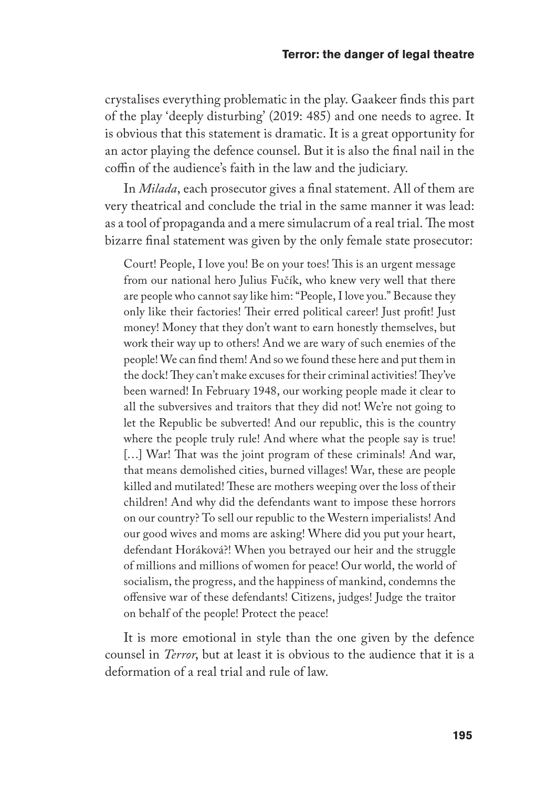crystalises everything problematic in the play. Gaakeer finds this part of the play 'deeply disturbing' (2019: 485) and one needs to agree. It is obvious that this statement is dramatic. It is a great opportunity for an actor playing the defence counsel. But it is also the final nail in the coffin of the audience's faith in the law and the judiciary.

In *Milada*, each prosecutor gives a final statement. All of them are very theatrical and conclude the trial in the same manner it was lead: as a tool of propaganda and a mere simulacrum of a real trial. The most bizarre final statement was given by the only female state prosecutor:

Court! People, I love you! Be on your toes! This is an urgent message from our national hero Julius Fučík, who knew very well that there are people who cannot say like him: "People, I love you." Because they only like their factories! Their erred political career! Just profit! Just money! Money that they don't want to earn honestly themselves, but work their way up to others! And we are wary of such enemies of the people! We can find them! And so we found these here and put them in the dock! They can't make excuses for their criminal activities! They've been warned! In February 1948, our working people made it clear to all the subversives and traitors that they did not! We're not going to let the Republic be subverted! And our republic, this is the country where the people truly rule! And where what the people say is true! [...] War! That was the joint program of these criminals! And war, that means demolished cities, burned villages! War, these are people killed and mutilated! These are mothers weeping over the loss of their children! And why did the defendants want to impose these horrors on our country? To sell our republic to the Western imperialists! And our good wives and moms are asking! Where did you put your heart, defendant Horáková?! When you betrayed our heir and the struggle of millions and millions of women for peace! Our world, the world of socialism, the progress, and the happiness of mankind, condemns the offensive war of these defendants! Citizens, judges! Judge the traitor on behalf of the people! Protect the peace!

It is more emotional in style than the one given by the defence counsel in *Terror*, but at least it is obvious to the audience that it is a deformation of a real trial and rule of law.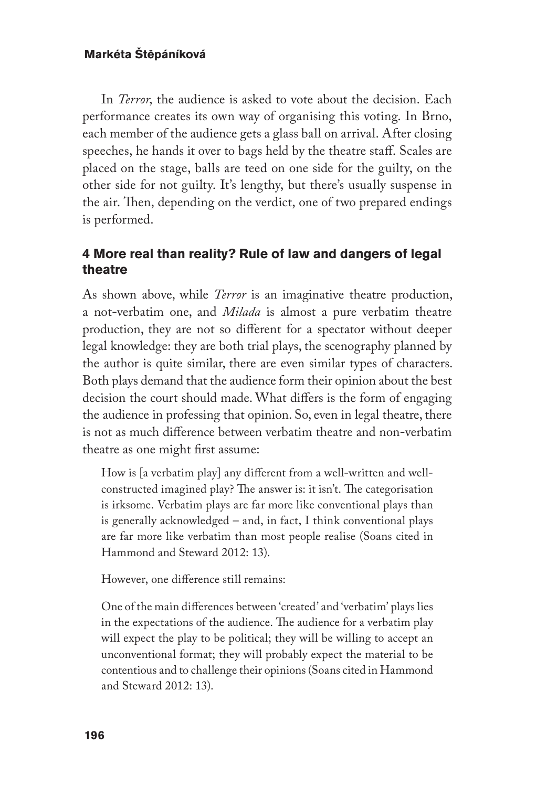In *Terror*, the audience is asked to vote about the decision. Each performance creates its own way of organising this voting. In Brno, each member of the audience gets a glass ball on arrival. After closing speeches, he hands it over to bags held by the theatre staff. Scales are placed on the stage, balls are teed on one side for the guilty, on the other side for not guilty. It's lengthy, but there's usually suspense in the air. Then, depending on the verdict, one of two prepared endings is performed.

## **4 More real than reality? Rule of law and dangers of legal theatre**

As shown above, while *Terror* is an imaginative theatre production, a not-verbatim one, and *Milada* is almost a pure verbatim theatre production, they are not so different for a spectator without deeper legal knowledge: they are both trial plays, the scenography planned by the author is quite similar, there are even similar types of characters. Both plays demand that the audience form their opinion about the best decision the court should made. What differs is the form of engaging the audience in professing that opinion. So, even in legal theatre, there is not as much difference between verbatim theatre and non-verbatim theatre as one might first assume:

How is [a verbatim play] any different from a well-written and wellconstructed imagined play? The answer is: it isn't. The categorisation is irksome. Verbatim plays are far more like conventional plays than is generally acknowledged – and, in fact, I think conventional plays are far more like verbatim than most people realise (Soans cited in Hammond and Steward 2012: 13).

However, one difference still remains:

One of the main differences between 'created' and 'verbatim' plays lies in the expectations of the audience. The audience for a verbatim play will expect the play to be political; they will be willing to accept an unconventional format; they will probably expect the material to be contentious and to challenge their opinions (Soans cited in Hammond and Steward 2012: 13).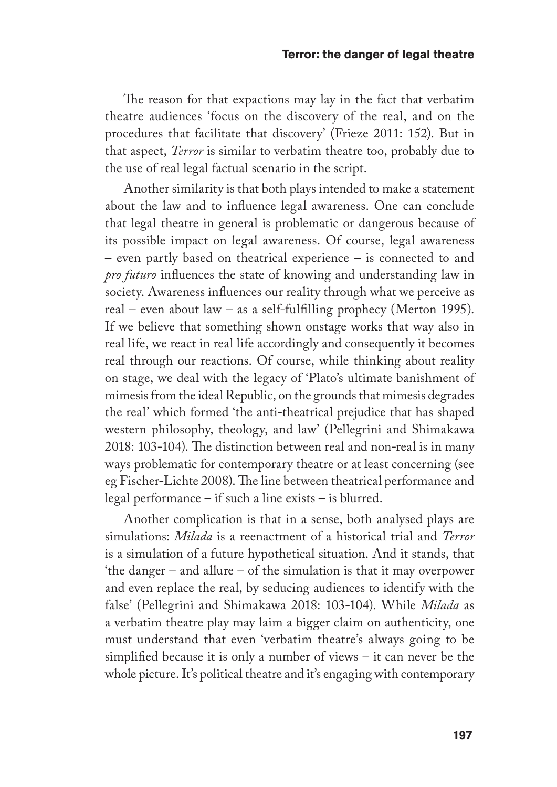The reason for that expactions may lay in the fact that verbatim theatre audiences 'focus on the discovery of the real, and on the procedures that facilitate that discovery' (Frieze 2011: 152). But in that aspect, *Terror* is similar to verbatim theatre too, probably due to the use of real legal factual scenario in the script.

Another similarity is that both plays intended to make a statement about the law and to influence legal awareness. One can conclude that legal theatre in general is problematic or dangerous because of its possible impact on legal awareness. Of course, legal awareness – even partly based on theatrical experience – is connected to and *pro futuro* influences the state of knowing and understanding law in society. Awareness influences our reality through what we perceive as real – even about law – as a self-fulfilling prophecy (Merton 1995). If we believe that something shown onstage works that way also in real life, we react in real life accordingly and consequently it becomes real through our reactions. Of course, while thinking about reality on stage, we deal with the legacy of 'Plato's ultimate banishment of mimesis from the ideal Republic, on the grounds that mimesis degrades the real' which formed 'the anti-theatrical prejudice that has shaped western philosophy, theology, and law' (Pellegrini and Shimakawa 2018: 103-104). The distinction between real and non-real is in many ways problematic for contemporary theatre or at least concerning (see eg Fischer-Lichte 2008). The line between theatrical performance and legal performance – if such a line exists – is blurred.

Another complication is that in a sense, both analysed plays are simulations: *Milada* is a reenactment of a historical trial and *Terror* is a simulation of a future hypothetical situation. And it stands, that 'the danger – and allure – of the simulation is that it may overpower and even replace the real, by seducing audiences to identify with the false' (Pellegrini and Shimakawa 2018: 103-104). While *Milada* as a verbatim theatre play may laim a bigger claim on authenticity, one must understand that even 'verbatim theatre's always going to be simplified because it is only a number of views – it can never be the whole picture. It's political theatre and it's engaging with contemporary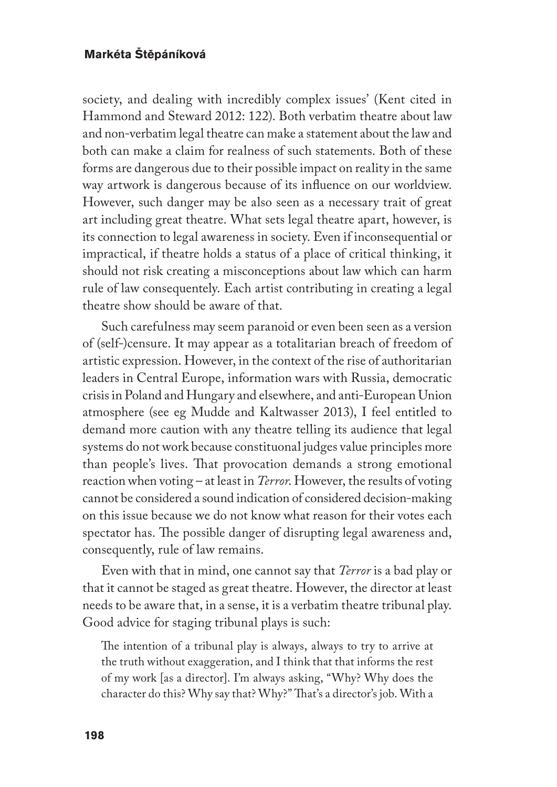society, and dealing with incredibly complex issues' (Kent cited in Hammond and Steward 2012: 122). Both verbatim theatre about law and non-verbatim legal theatre can make a statement about the law and both can make a claim for realness of such statements. Both of these forms are dangerous due to their possible impact on reality in the same way artwork is dangerous because of its influence on our worldview. However, such danger may be also seen as a necessary trait of great art including great theatre. What sets legal theatre apart, however, is its connection to legal awareness in society. Even if inconsequential or impractical, if theatre holds a status of a place of critical thinking, it should not risk creating a misconceptions about law which can harm rule of law consequentely. Each artist contributing in creating a legal theatre show should be aware of that.

Such carefulness may seem paranoid or even been seen as a version of (self-)censure. It may appear as a totalitarian breach of freedom of artistic expression. However, in the context of the rise of authoritarian leaders in Central Europe, information wars with Russia, democratic crisis in Poland and Hungary and elsewhere, and anti-European Union atmosphere (see eg Mudde and Kaltwasser 2013), I feel entitled to demand more caution with any theatre telling its audience that legal systems do not work because constituonal judges value principles more than people's lives. That provocation demands a strong emotional reaction when voting – at least in *Terror*. However, the results of voting cannot be considered a sound indication of considered decision-making on this issue because we do not know what reason for their votes each spectator has. The possible danger of disrupting legal awareness and, consequently, rule of law remains.

Even with that in mind, one cannot say that *Terror* is a bad play or that it cannot be staged as great theatre. However, the director at least needs to be aware that, in a sense, it is a verbatim theatre tribunal play. Good advice for staging tribunal plays is such:

The intention of a tribunal play is always, always to try to arrive at the truth without exaggeration, and I think that that informs the rest of my work [as a director]. I'm always asking, "Why? Why does the character do this? Why say that? Why?" That's a director's job. With a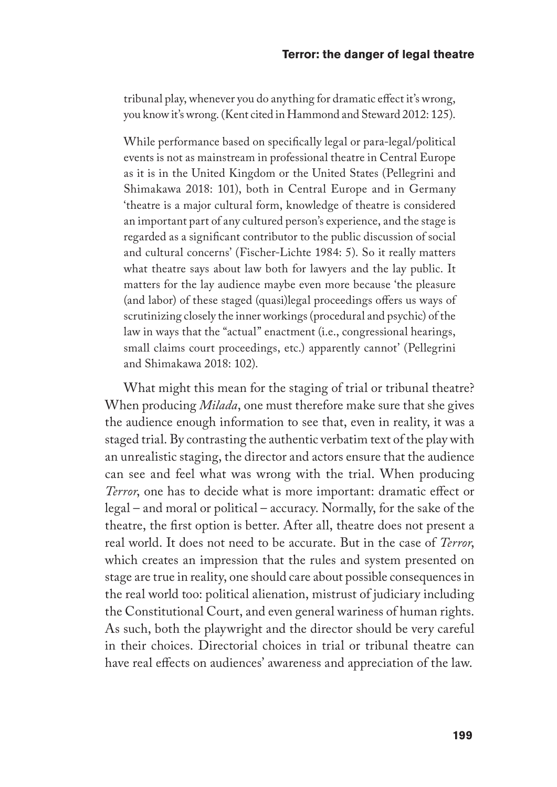tribunal play, whenever you do anything for dramatic effect it's wrong, you know it's wrong. (Kent cited in Hammond and Steward 2012: 125).

While performance based on specifically legal or para-legal/political events is not as mainstream in professional theatre in Central Europe as it is in the United Kingdom or the United States (Pellegrini and Shimakawa 2018: 101), both in Central Europe and in Germany 'theatre is a major cultural form, knowledge of theatre is considered an important part of any cultured person's experience, and the stage is regarded as a significant contributor to the public discussion of social and cultural concerns' (Fischer-Lichte 1984: 5). So it really matters what theatre says about law both for lawyers and the lay public. It matters for the lay audience maybe even more because 'the pleasure (and labor) of these staged (quasi)legal proceedings offers us ways of scrutinizing closely the inner workings (procedural and psychic) of the law in ways that the "actual" enactment (i.e., congressional hearings, small claims court proceedings, etc.) apparently cannot' (Pellegrini and Shimakawa 2018: 102).

What might this mean for the staging of trial or tribunal theatre? When producing *Milada*, one must therefore make sure that she gives the audience enough information to see that, even in reality, it was a staged trial. By contrasting the authentic verbatim text of the play with an unrealistic staging, the director and actors ensure that the audience can see and feel what was wrong with the trial. When producing *Terror*, one has to decide what is more important: dramatic effect or legal – and moral or political – accuracy. Normally, for the sake of the theatre, the first option is better. After all, theatre does not present a real world. It does not need to be accurate. But in the case of *Terror*, which creates an impression that the rules and system presented on stage are true in reality, one should care about possible consequences in the real world too: political alienation, mistrust of judiciary including the Constitutional Court, and even general wariness of human rights. As such, both the playwright and the director should be very careful in their choices. Directorial choices in trial or tribunal theatre can have real effects on audiences' awareness and appreciation of the law.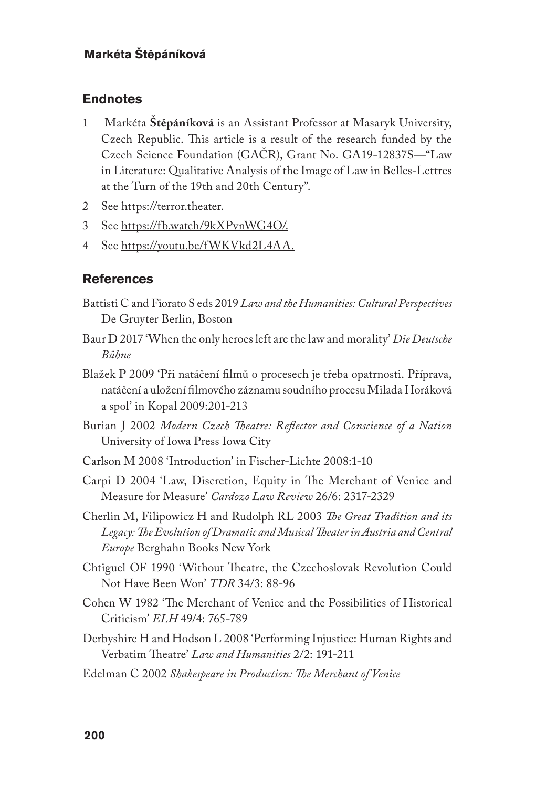### **Endnotes**

- 1 Markéta **Štěpáníková** is an Assistant Professor at Masaryk University, Czech Republic. This article is a result of the research funded by the Czech Science Foundation (GAČR), Grant No. GA19-12837S—"Law in Literature: Qualitative Analysis of the Image of Law in Belles-Lettres at the Turn of the 19th and 20th Century".
- 2 See https://terror.theater.
- 3 See https://fb.watch/9kXPvnWG4O/.
- 4 See https://youtu.be/fWKVkd2L4AA.

### **References**

- Battisti C and Fiorato S eds 2019 *Law and the Humanities: Cultural Perspectives* De Gruyter Berlin, Boston
- Baur D 2017 'When the only heroes left are the law and morality' *Die Deutsche Bühne*
- Blažek P 2009 'Při natáčení filmů o procesech je třeba opatrnosti. Příprava, natáčení a uložení filmového záznamu soudního procesu Milada Horáková a spol' in Kopal 2009:201-213
- Burian J 2002 *Modern Czech Theatre: Reflector and Conscience of a Nation* University of Iowa Press Iowa City
- Carlson M 2008 'Introduction' in Fischer-Lichte 2008:1-10
- Carpi D 2004 'Law, Discretion, Equity in The Merchant of Venice and Measure for Measure' *Cardozo Law Review* 26/6: 2317-2329
- Cherlin M, Filipowicz H and Rudolph RL 2003 *The Great Tradition and its Legacy: The Evolution of Dramatic and Musical Theater in Austria and Central Europe* Berghahn Books New York
- Chtiguel OF 1990 'Without Theatre, the Czechoslovak Revolution Could Not Have Been Won' *TDR* 34/3: 88-96
- Cohen W 1982 'The Merchant of Venice and the Possibilities of Historical Criticism' *ELH* 49/4: 765-789
- Derbyshire H and Hodson L 2008 'Performing Injustice: Human Rights and Verbatim Theatre' *Law and Humanities* 2/2: 191-211
- Edelman C 2002 *Shakespeare in Production: The Merchant of Venice*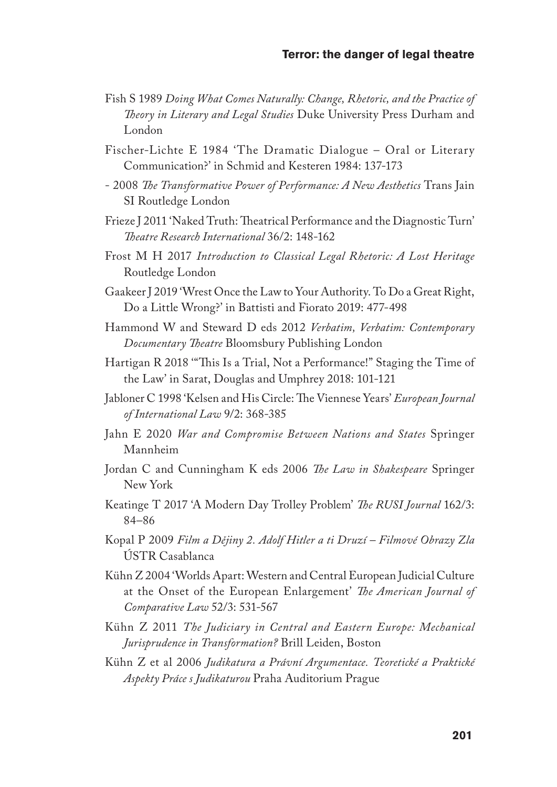- Fish S 1989 *Doing What Comes Naturally: Change, Rhetoric, and the Practice of Theory in Literary and Legal Studies* Duke University Press Durham and London
- Fischer-Lichte E 1984 'The Dramatic Dialogue Oral or Literary Communication?' in Schmid and Kesteren 1984: 137-173
- 2008 *The Transformative Power of Performance: A New Aesthetics* Trans Jain SI Routledge London
- Frieze J 2011 'Naked Truth: Theatrical Performance and the Diagnostic Turn' *Theatre Research International* 36/2: 148-162
- Frost M H 2017 *Introduction to Classical Legal Rhetoric: A Lost Heritage* Routledge London
- Gaakeer J 2019 'Wrest Once the Law to Your Authority. To Do a Great Right, Do a Little Wrong?' in Battisti and Fiorato 2019: 477-498
- Hammond W and Steward D eds 2012 *Verbatim, Verbatim: Contemporary Documentary Theatre* Bloomsbury Publishing London
- Hartigan R 2018 '"This Is a Trial, Not a Performance!" Staging the Time of the Law' in Sarat, Douglas and Umphrey 2018: 101-121
- Jabloner C 1998 'Kelsen and His Circle: The Viennese Years' *European Journal of International Law* 9/2: 368-385
- Jahn E 2020 *War and Compromise Between Nations and States* Springer Mannheim
- Jordan C and Cunningham K eds 2006 *The Law in Shakespeare* Springer New York
- Keatinge T 2017 'A Modern Day Trolley Problem' *The RUSI Journal* 162/3: 84–86
- Kopal P 2009 *Film a Dějiny 2. Adolf Hitler a ti Druzí Filmové Obrazy Zla* ÚSTR Casablanca
- Kühn Z 2004 'Worlds Apart: Western and Central European Judicial Culture at the Onset of the European Enlargement' *The American Journal of Comparative Law* 52/3: 531-567
- Kühn Z 2011 *The Judiciary in Central and Eastern Europe: Mechanical Jurisprudence in Transformation?* Brill Leiden, Boston
- Kühn Z et al 2006 *Judikatura a Právní Argumentace. Teoretické a Praktické Aspekty Práce s Judikaturou* Praha Auditorium Prague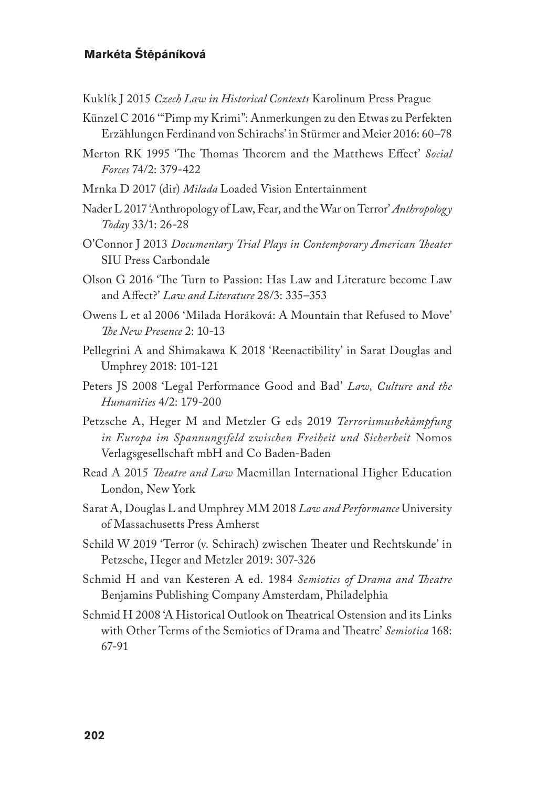- Kuklík J 2015 *Czech Law in Historical Contexts* Karolinum Press Prague
- Künzel C 2016 '"Pimp my Krimi": Anmerkungen zu den Etwas zu Perfekten Erzählungen Ferdinand von Schirachs' in Stürmer and Meier 2016: 60–78
- Merton RK 1995 'The Thomas Theorem and the Matthews Effect' *Social Forces* 74/2: 379-422
- Mrnka D 2017 (dir) *Milada* Loaded Vision Entertainment
- Nader L 2017 'Anthropology of Law, Fear, and the War on Terror' *Anthropology Today* 33/1: 26-28
- O'Connor J 2013 *Documentary Trial Plays in Contemporary American Theater* SIU Press Carbondale
- Olson G 2016 'The Turn to Passion: Has Law and Literature become Law and Affect?' *Law and Literature* 28/3: 335–353
- Owens L et al 2006 'Milada Horáková: A Mountain that Refused to Move' *The New Presence* 2: 10-13
- Pellegrini A and Shimakawa K 2018 'Reenactibility' in Sarat Douglas and Umphrey 2018: 101-121
- Peters JS 2008 'Legal Performance Good and Bad' *Law, Culture and the Humanities* 4/2: 179-200
- Petzsche A, Heger M and Metzler G eds 2019 *Terrorismusbekämpfung in Europa im Spannungsfeld zwischen Freiheit und Sicherheit* Nomos Verlagsgesellschaft mbH and Co Baden-Baden
- Read A 2015 *Theatre and Law* Macmillan International Higher Education London, New York
- Sarat A, Douglas L and Umphrey MM 2018 *Law and Performance* University of Massachusetts Press Amherst
- Schild W 2019 'Terror (v. Schirach) zwischen Theater und Rechtskunde' in Petzsche, Heger and Metzler 2019: 307-326
- Schmid H and van Kesteren A ed. 1984 *Semiotics of Drama and Theatre* Benjamins Publishing Company Amsterdam, Philadelphia
- Schmid H 2008 'A Historical Outlook on Theatrical Ostension and its Links with Other Terms of the Semiotics of Drama and Theatre' *Semiotica* 168: 67-91